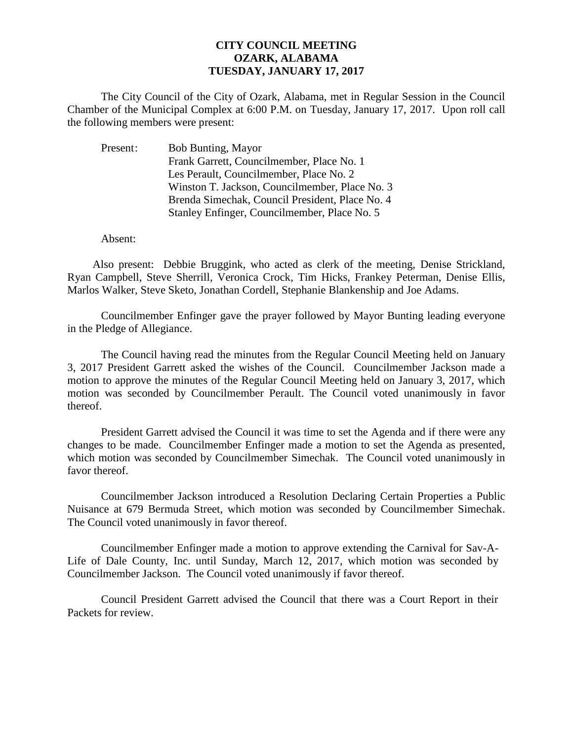## **CITY COUNCIL MEETING OZARK, ALABAMA TUESDAY, JANUARY 17, 2017**

The City Council of the City of Ozark, Alabama, met in Regular Session in the Council Chamber of the Municipal Complex at 6:00 P.M. on Tuesday, January 17, 2017. Upon roll call the following members were present:

| Present: | <b>Bob Bunting, Mayor</b>                       |
|----------|-------------------------------------------------|
|          | Frank Garrett, Councilmember, Place No. 1       |
|          | Les Perault, Councilmember, Place No. 2         |
|          | Winston T. Jackson, Councilmember, Place No. 3  |
|          | Brenda Simechak, Council President, Place No. 4 |
|          | Stanley Enfinger, Councilmember, Place No. 5    |

Absent:

Also present: Debbie Bruggink, who acted as clerk of the meeting, Denise Strickland, Ryan Campbell, Steve Sherrill, Veronica Crock, Tim Hicks, Frankey Peterman, Denise Ellis, Marlos Walker, Steve Sketo, Jonathan Cordell, Stephanie Blankenship and Joe Adams.

Councilmember Enfinger gave the prayer followed by Mayor Bunting leading everyone in the Pledge of Allegiance.

The Council having read the minutes from the Regular Council Meeting held on January 3, 2017 President Garrett asked the wishes of the Council. Councilmember Jackson made a motion to approve the minutes of the Regular Council Meeting held on January 3, 2017, which motion was seconded by Councilmember Perault. The Council voted unanimously in favor thereof.

President Garrett advised the Council it was time to set the Agenda and if there were any changes to be made. Councilmember Enfinger made a motion to set the Agenda as presented, which motion was seconded by Councilmember Simechak. The Council voted unanimously in favor thereof.

 Councilmember Jackson introduced a Resolution Declaring Certain Properties a Public Nuisance at 679 Bermuda Street, which motion was seconded by Councilmember Simechak. The Council voted unanimously in favor thereof.

Councilmember Enfinger made a motion to approve extending the Carnival for Sav-A-Life of Dale County, Inc. until Sunday, March 12, 2017, which motion was seconded by Councilmember Jackson. The Council voted unanimously if favor thereof.

Council President Garrett advised the Council that there was a Court Report in their Packets for review.